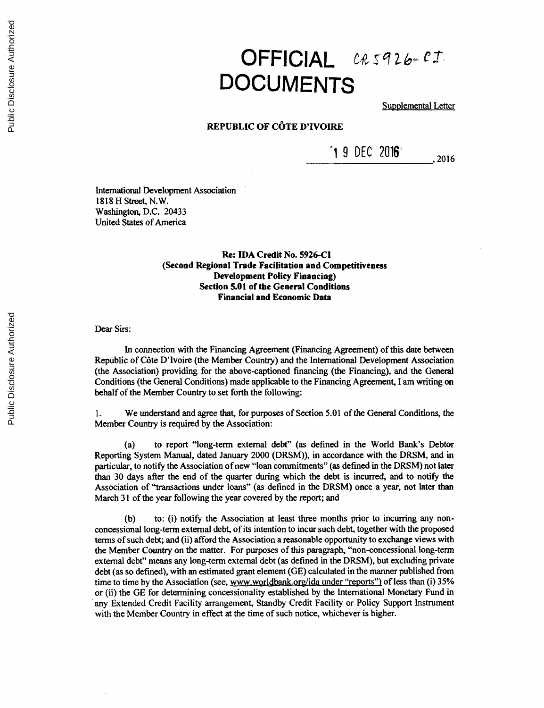## OFFICIAL *CR5926-CI* **DOCUMENTS**

Supplemental Letter

## **REPUBLIC OF C6TE D'IVOIRE**

 $19$  DEC 2016'  $\qquad \qquad$  2016

International Development Association **1818** H **Stret,** N.W. Washington, **D.C.** 20433 United States of America

> **Re: IDA Credit No. 5926-Cl (Second Regional Trade Facilitation and Competitiveness Development Policy Financing) Section 5.01 of the General Conditions Financial and Economic Data**

Dear Sirs:

In connection with the Financing Agreement (Financing Agreement) of this date between Republic of C6te D'Ivoire (the Member Country) and the International Development Association (the Association) providing for the above-captioned financing (the Financing), and the General Conditions (the General Conditions) made applicable to the Financing Agreement, **I** am writing on behalf of the Member Country to set forth the following:

**1.** We understand and agree that, for purposes of Section **5.01** of the General Conditions, the Member Country is required **by** the Association:

(a) to report "long-term external debt" (as defined in the World Bank's Debtor Reporting System Manual, dated January 2000 (DRSM)), in accordance with the DRSM, and in particular, to notify the Association of new "loan commitments" (as defined in the DRSM) not later than **<sup>30</sup>**days after the end of the quarter during which the debt is incurred, and to notify the Association of "transactions under loans" (as defined in the DRSM) once a year, not later than March **31** of the year following the year covered **by** the report; and

**(b)** to: (i) notify the Association at least three months prior to incurring any nonconcessional long-term external debt, of its intention to incur such debt, together with the proposed terms of such debt; and (ii) afford the Association a reasonable opportunity to exchange views with the Member Country on the matter. For purposes of this paragraph, "non-concessional long-term external debt" means any long-term external debt (as defined in the DRSM), but excluding private debt (as so defined), with an estimated grant element **(GE)** calculated in the manner published from time to time **by** the Association (see, www.worldbank.org/ida under "reports") of less than (i) *35%* or (ii) the **GE** for determining concessionality established **by** the International Monetary Fund in any Extended Credit Facility arrangement, Standby Credit Facility or Policy Support Instrument with the Member Country in effect at the time of such notice, whichever is higher.